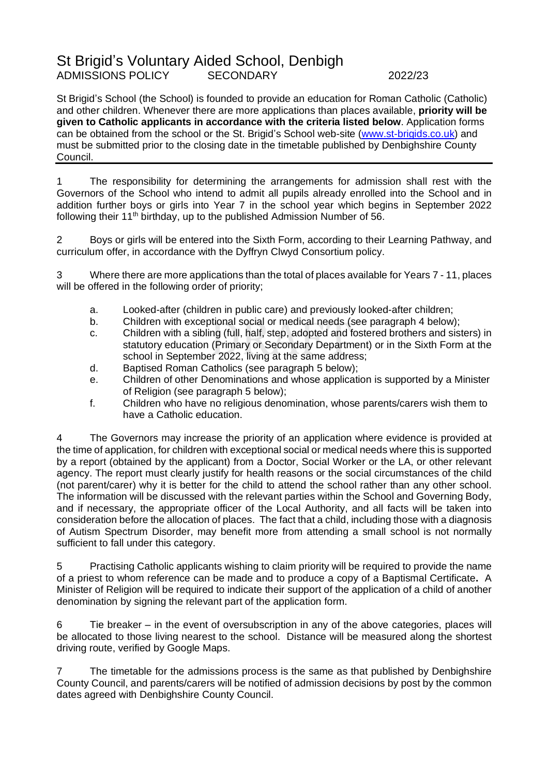## St Brigid's Voluntary Aided School, Denbigh ADMISSIONS POLICY SECONDARY 2022/23

St Brigid's School (the School) is founded to provide an education for Roman Catholic (Catholic) and other children. Whenever there are more applications than places available, **priority will be given to Catholic applicants in accordance with the criteria listed below**. Application forms can be obtained from the school or the St. Brigid's School web-site [\(www.st-brigids.co.uk\)](http://www.st-brigids.co.uk/) and must be submitted prior to the closing date in the timetable published by Denbighshire County Council.

1 The responsibility for determining the arrangements for admission shall rest with the Governors of the School who intend to admit all pupils already enrolled into the School and in addition further boys or girls into Year 7 in the school year which begins in September 2022 following their 11<sup>th</sup> birthday, up to the published Admission Number of 56.

2 Boys or girls will be entered into the Sixth Form, according to their Learning Pathway, and curriculum offer, in accordance with the Dyffryn Clwyd Consortium policy.

3 Where there are more applications than the total of places available for Years 7 - 11, places will be offered in the following order of priority;

- a. Looked-after (children in public care) and previously looked-after children;
- b. Children with exceptional social or medical needs (see paragraph 4 below);
- c. Children with a sibling (full, half, step, adopted and fostered brothers and sisters) in statutory education (Primary or Secondary Department) or in the Sixth Form at the school in September 2022, living at the same address;
- d. Baptised Roman Catholics (see paragraph 5 below);
- e. Children of other Denominations and whose application is supported by a Minister of Religion (see paragraph 5 below);
- f. Children who have no religious denomination, whose parents/carers wish them to have a Catholic education.

4 The Governors may increase the priority of an application where evidence is provided at the time of application, for children with exceptional social or medical needs where this is supported by a report (obtained by the applicant) from a Doctor, Social Worker or the LA, or other relevant agency. The report must clearly justify for health reasons or the social circumstances of the child (not parent/carer) why it is better for the child to attend the school rather than any other school. The information will be discussed with the relevant parties within the School and Governing Body, and if necessary, the appropriate officer of the Local Authority, and all facts will be taken into consideration before the allocation of places. The fact that a child, including those with a diagnosis of Autism Spectrum Disorder, may benefit more from attending a small school is not normally sufficient to fall under this category.

5 Practising Catholic applicants wishing to claim priority will be required to provide the name of a priest to whom reference can be made and to produce a copy of a Baptismal Certificate**.** A Minister of Religion will be required to indicate their support of the application of a child of another denomination by signing the relevant part of the application form.

6 Tie breaker – in the event of oversubscription in any of the above categories, places will be allocated to those living nearest to the school. Distance will be measured along the shortest driving route, verified by Google Maps.

7 The timetable for the admissions process is the same as that published by Denbighshire County Council, and parents/carers will be notified of admission decisions by post by the common dates agreed with Denbighshire County Council.